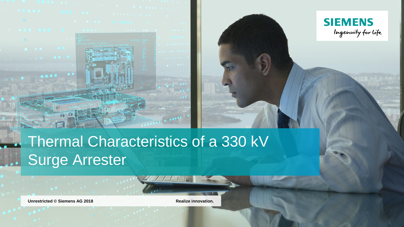

Unrestricted © Siemens AG 2018 **Realize innovation.** 

**SIEMENS** 

Ingenuity for Life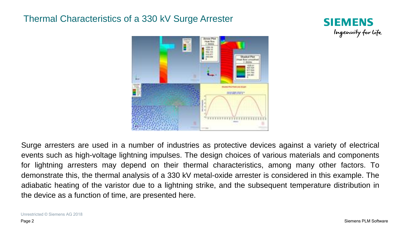### Thermal Characteristics of a 330 kV Surge Arrester





Surge arresters are used in a number of industries as protective devices against a variety of electrical events such as high-voltage lightning impulses. The design choices of various materials and components for lightning arresters may depend on their thermal characteristics, among many other factors. To demonstrate this, the thermal analysis of a 330 kV metal-oxide arrester is considered in this example. The adiabatic heating of the varistor due to a lightning strike, and the subsequent temperature distribution in the device as a function of time, are presented here.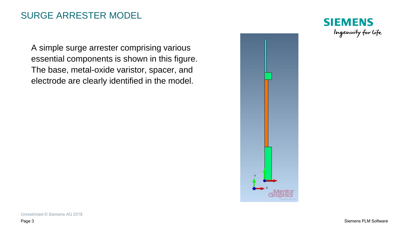#### SURGE ARRESTER MODEL

A simple surge arrester comprising various essential components is shown in this figure. The base, metal-oxide varistor, spacer, and electrode are clearly identified in the model.



**SIEMENS** Ingenuity for life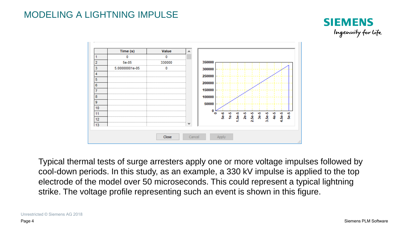# MODELING A LIGHTNING IMPULSE





Typical thermal tests of surge arresters apply one or more voltage impulses followed by cool-down periods. In this study, as an example, a 330 kV impulse is applied to the top electrode of the model over 50 microseconds. This could represent a typical lightning strike. The voltage profile representing such an event is shown in this figure.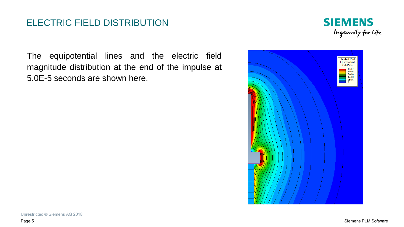# ELECTRIC FIELD DISTRIBUTION



The equipotential lines and the electric field magnitude distribution at the end of the impulse at 5.0E-5 seconds are shown here.

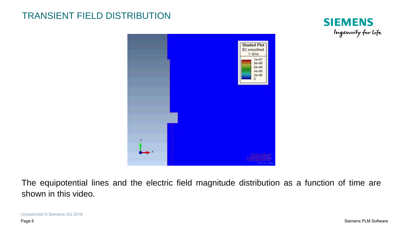### TRANSIENT FIELD DISTRIBUTION





The equipotential lines and the electric field magnitude distribution as a function of time are shown in this video.

Unrestricted © Siemens AG 2018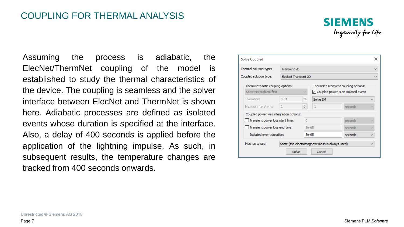#### COUPLING FOR THERMAL ANALYSIS

**SIEMENS** Ingenuity for life

Assuming the process is adiabatic, the ElecNet/ThermNet coupling of the model is established to study the thermal characteristics of the device. The coupling is seamless and the solver interface between ElecNet and ThermNet is shown here. Adiabatic processes are defined as isolated events whose duration is specified at the interface. Also, a delay of 400 seconds is applied before the application of the lightning impulse. As such, in subsequent results, the temperature changes are tracked from 400 seconds onwards.

| Solve Coupled                           |                                                |                    |                                           |         | ×            |
|-----------------------------------------|------------------------------------------------|--------------------|-------------------------------------------|---------|--------------|
| Thermal solution type:                  | Transient 2D                                   |                    |                                           |         |              |
| Coupled solution type:                  | ElecNet Transient 2D                           |                    |                                           |         |              |
| ThermNet Static coupling options:       | ThermNet Transient coupling options:           |                    |                                           |         |              |
| Solve EM problem first                  |                                                |                    | $\vee$ Coupled power is an isolated event |         |              |
| Tolerance:                              | 0.01                                           | %                  | Solve EM                                  |         | $\checkmark$ |
| Maximum iterations:                     |                                                | ∸<br>÷             | 1                                         | seconds |              |
| Coupled power loss integration options: |                                                |                    |                                           |         |              |
| Transient power loss start time:        |                                                | $\Omega$           |                                           | seconds |              |
| Transient power loss end time:          |                                                | $5e-05$<br>seconds |                                           |         |              |
| Isolated event duration:                |                                                | $5e-05$            |                                           | seconds | $\checkmark$ |
| Meshes to use:                          | Same (the electromagnetic mesh is always used) |                    |                                           |         |              |
|                                         | Solve                                          |                    | Cancel                                    |         |              |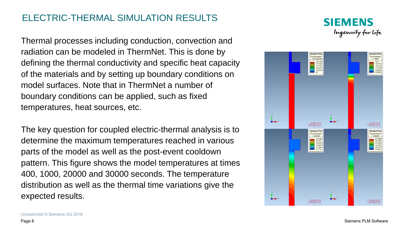# ELECTRIC-THERMAL SIMULATION RESULTS

Thermal processes including conduction, convection and radiation can be modeled in ThermNet. This is done by defining the thermal conductivity and specific heat capacity of the materials and by setting up boundary conditions on model surfaces. Note that in ThermNet a number of boundary conditions can be applied, such as fixed temperatures, heat sources, etc.

The key question for coupled electric-thermal analysis is to determine the maximum temperatures reached in various parts of the model as well as the post-event cooldown pattern. This figure shows the model temperatures at times 400, 1000, 20000 and 30000 seconds. The temperature distribution as well as the thermal time variations give the expected results.



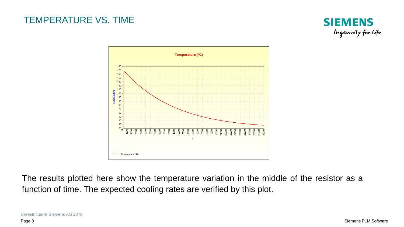# TEMPERATURE VS. TIME





The results plotted here show the temperature variation in the middle of the resistor as a function of time. The expected cooling rates are verified by this plot.